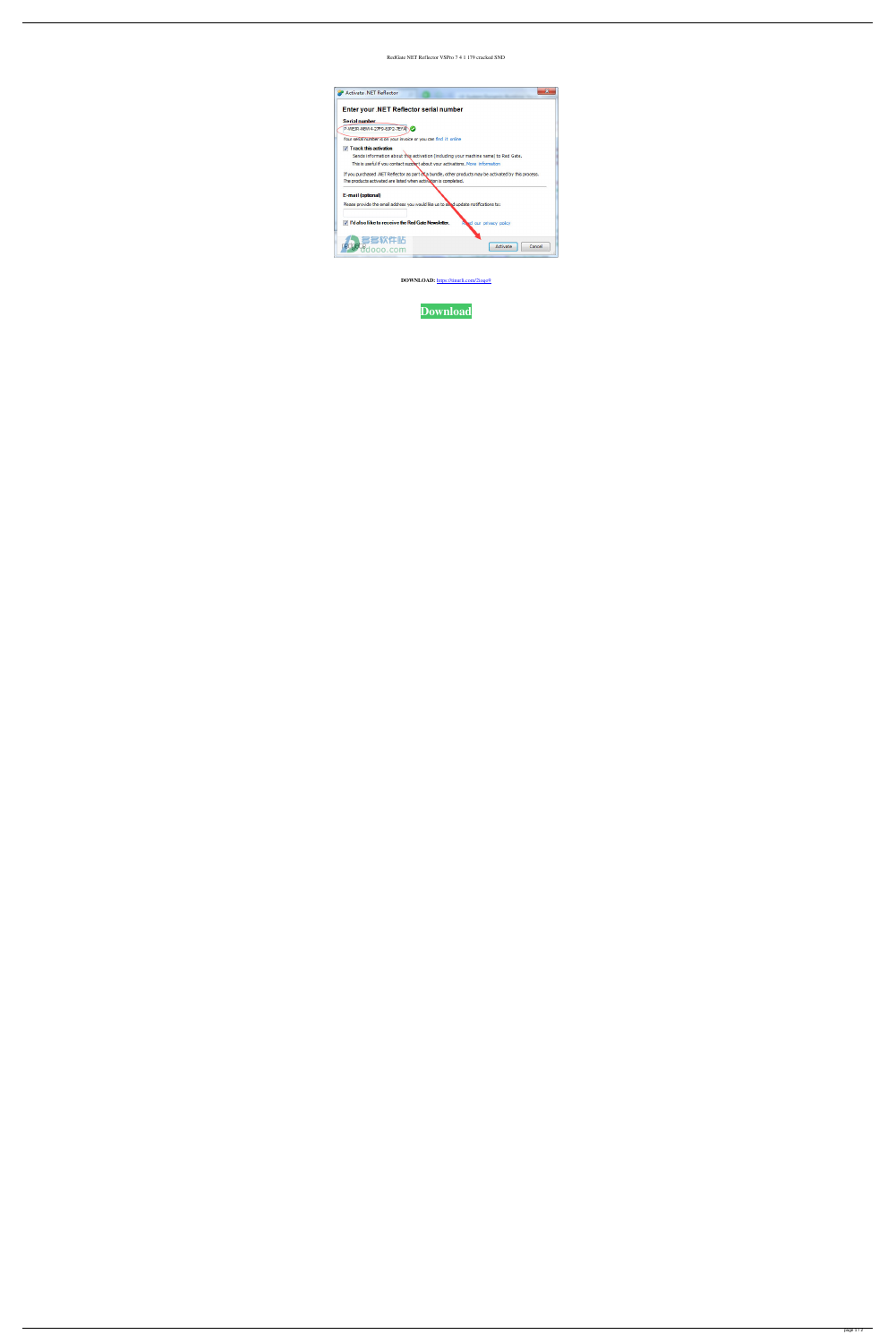## RedGate NET Reflector VSPro 7 4 1 179 cracked SND

| Enter your .NET Reflector serial number<br><b>Serial number</b>                                                                                               |                                                                                                       |
|---------------------------------------------------------------------------------------------------------------------------------------------------------------|-------------------------------------------------------------------------------------------------------|
| P-WEJR-NBW4-27F9-8JP2-7EYA                                                                                                                                    |                                                                                                       |
| Your serial number is on your invoice or you can find it online                                                                                               |                                                                                                       |
| <b>Track this activation</b>                                                                                                                                  |                                                                                                       |
| Sends information about this activation (including your machine name) to Red Gate.                                                                            |                                                                                                       |
| This is useful if you contact support about your activations. More information                                                                                |                                                                                                       |
|                                                                                                                                                               |                                                                                                       |
|                                                                                                                                                               | If you purchased .NET Reflector as part of a bundle, other products may be activated by this process. |
| The products activated are listed when activation is completed.                                                                                               |                                                                                                       |
| E-mail (optional)<br>Please provide the email address you would like us to send update notifications to:<br>I'd also like to receive the Red Gate Newsletter. | Read our privacy policy                                                                               |

**DOWNLOAD:** <https://tinurli.com/2ioqo9>